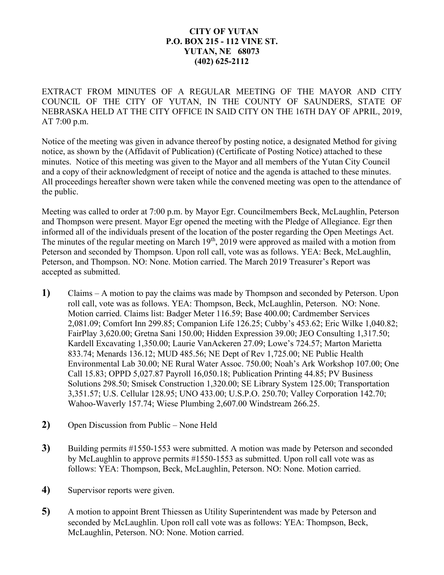## **CITY OF YUTAN P.O. BOX 215 - 112 VINE ST. YUTAN, NE 68073 (402) 625-2112**

EXTRACT FROM MINUTES OF A REGULAR MEETING OF THE MAYOR AND CITY COUNCIL OF THE CITY OF YUTAN, IN THE COUNTY OF SAUNDERS, STATE OF NEBRASKA HELD AT THE CITY OFFICE IN SAID CITY ON THE 16TH DAY OF APRIL, 2019, AT 7:00 p.m.

Notice of the meeting was given in advance thereof by posting notice, a designated Method for giving notice, as shown by the (Affidavit of Publication) (Certificate of Posting Notice) attached to these minutes. Notice of this meeting was given to the Mayor and all members of the Yutan City Council and a copy of their acknowledgment of receipt of notice and the agenda is attached to these minutes. All proceedings hereafter shown were taken while the convened meeting was open to the attendance of the public.

Meeting was called to order at 7:00 p.m. by Mayor Egr. Councilmembers Beck, McLaughlin, Peterson and Thompson were present. Mayor Egr opened the meeting with the Pledge of Allegiance. Egr then informed all of the individuals present of the location of the poster regarding the Open Meetings Act. The minutes of the regular meeting on March 19<sup>th</sup>, 2019 were approved as mailed with a motion from Peterson and seconded by Thompson. Upon roll call, vote was as follows. YEA: Beck, McLaughlin, Peterson, and Thompson. NO: None. Motion carried. The March 2019 Treasurer's Report was accepted as submitted.

- **1)** Claims A motion to pay the claims was made by Thompson and seconded by Peterson. Upon roll call, vote was as follows. YEA: Thompson, Beck, McLaughlin, Peterson. NO: None. Motion carried. Claims list: Badger Meter 116.59; Base 400.00; Cardmember Services 2,081.09; Comfort Inn 299.85; Companion Life 126.25; Cubby's 453.62; Eric Wilke 1,040.82; FairPlay 3,620.00; Gretna Sani 150.00; Hidden Expression 39.00; JEO Consulting 1,317.50; Kardell Excavating 1,350.00; Laurie VanAckeren 27.09; Lowe's 724.57; Marton Marietta 833.74; Menards 136.12; MUD 485.56; NE Dept of Rev 1,725.00; NE Public Health Environmental Lab 30.00; NE Rural Water Assoc. 750.00; Noah's Ark Workshop 107.00; One Call 15.83; OPPD 5,027.87 Payroll 16,050.18; Publication Printing 44.85; PV Business Solutions 298.50; Smisek Construction 1,320.00; SE Library System 125.00; Transportation 3,351.57; U.S. Cellular 128.95; UNO 433.00; U.S.P.O. 250.70; Valley Corporation 142.70; Wahoo-Waverly 157.74; Wiese Plumbing 2,607.00 Windstream 266.25.
- **2)** Open Discussion from Public None Held
- **3)** Building permits #1550-1553 were submitted. A motion was made by Peterson and seconded by McLaughlin to approve permits #1550-1553 as submitted. Upon roll call vote was as follows: YEA: Thompson, Beck, McLaughlin, Peterson. NO: None. Motion carried.
- **4)** Supervisor reports were given.
- **5)** A motion to appoint Brent Thiessen as Utility Superintendent was made by Peterson and seconded by McLaughlin. Upon roll call vote was as follows: YEA: Thompson, Beck, McLaughlin, Peterson. NO: None. Motion carried.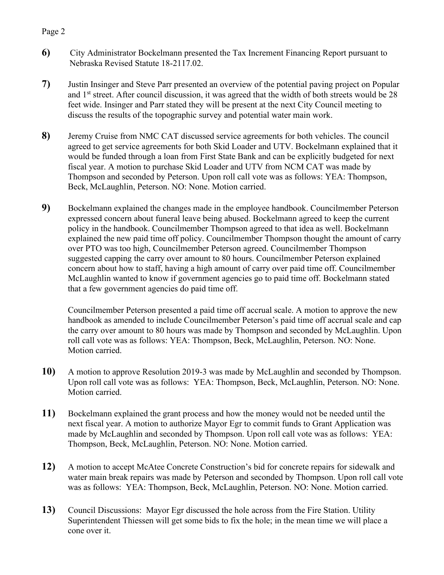## Page 2

- **6)** City Administrator Bockelmann presented the Tax Increment Financing Report pursuant to Nebraska Revised Statute 18-2117.02.
- **7)** Justin Insinger and Steve Parr presented an overview of the potential paving project on Popular and  $1<sup>st</sup>$  street. After council discussion, it was agreed that the width of both streets would be 28 feet wide. Insinger and Parr stated they will be present at the next City Council meeting to discuss the results of the topographic survey and potential water main work.
- **8)** Jeremy Cruise from NMC CAT discussed service agreements for both vehicles. The council agreed to get service agreements for both Skid Loader and UTV. Bockelmann explained that it would be funded through a loan from First State Bank and can be explicitly budgeted for next fiscal year. A motion to purchase Skid Loader and UTV from NCM CAT was made by Thompson and seconded by Peterson. Upon roll call vote was as follows: YEA: Thompson, Beck, McLaughlin, Peterson. NO: None. Motion carried.
- **9)** Bockelmann explained the changes made in the employee handbook. Councilmember Peterson expressed concern about funeral leave being abused. Bockelmann agreed to keep the current policy in the handbook. Councilmember Thompson agreed to that idea as well. Bockelmann explained the new paid time off policy. Councilmember Thompson thought the amount of carry over PTO was too high, Councilmember Peterson agreed. Councilmember Thompson suggested capping the carry over amount to 80 hours. Councilmember Peterson explained concern about how to staff, having a high amount of carry over paid time off. Councilmember McLaughlin wanted to know if government agencies go to paid time off. Bockelmann stated that a few government agencies do paid time off.

Councilmember Peterson presented a paid time off accrual scale. A motion to approve the new handbook as amended to include Councilmember Peterson's paid time off accrual scale and cap the carry over amount to 80 hours was made by Thompson and seconded by McLaughlin. Upon roll call vote was as follows: YEA: Thompson, Beck, McLaughlin, Peterson. NO: None. Motion carried.

- **10)** A motion to approve Resolution 2019-3 was made by McLaughlin and seconded by Thompson. Upon roll call vote was as follows: YEA: Thompson, Beck, McLaughlin, Peterson. NO: None. Motion carried.
- **11)** Bockelmann explained the grant process and how the money would not be needed until the next fiscal year. A motion to authorize Mayor Egr to commit funds to Grant Application was made by McLaughlin and seconded by Thompson. Upon roll call vote was as follows: YEA: Thompson, Beck, McLaughlin, Peterson. NO: None. Motion carried.
- **12)** A motion to accept McAtee Concrete Construction's bid for concrete repairs for sidewalk and water main break repairs was made by Peterson and seconded by Thompson. Upon roll call vote was as follows: YEA: Thompson, Beck, McLaughlin, Peterson. NO: None. Motion carried.
- **13)** Council Discussions: Mayor Egr discussed the hole across from the Fire Station. Utility Superintendent Thiessen will get some bids to fix the hole; in the mean time we will place a cone over it.